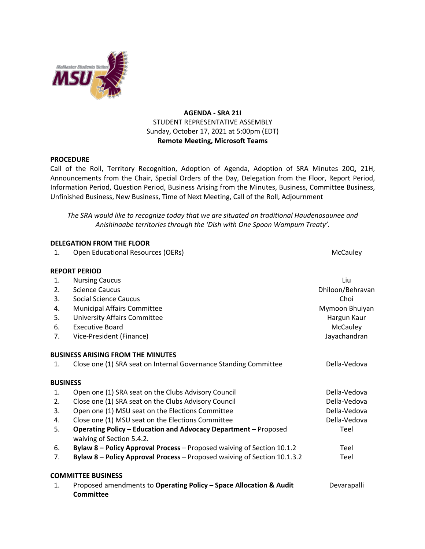

## **AGENDA - SRA 21I** STUDENT REPRESENTATIVE ASSEMBLY Sunday, October 17, 2021 at 5:00pm (EDT) **Remote Meeting, Microsoft Teams**

## **PROCEDURE**

Call of the Roll, Territory Recognition, Adoption of Agenda, Adoption of SRA Minutes 20Q, 21H, Announcements from the Chair, Special Orders of the Day, Delegation from the Floor, Report Period, Information Period, Question Period, Business Arising from the Minutes, Business, Committee Business, Unfinished Business, New Business, Time of Next Meeting, Call of the Roll, Adjournment

*The SRA would like to recognize today that we are situated on traditional Haudenosaunee and Anishinaabe territories through the 'Dish with One Spoon Wampum Treaty'.*

|                | <b>DELEGATION FROM THE FLOOR</b>                                                                    |                  |
|----------------|-----------------------------------------------------------------------------------------------------|------------------|
| 1.             | Open Educational Resources (OERs)                                                                   | McCauley         |
|                | <b>REPORT PERIOD</b>                                                                                |                  |
| 1.             | <b>Nursing Caucus</b>                                                                               | Liu              |
| 2.             | <b>Science Caucus</b>                                                                               | Dhiloon/Behravan |
| 3.             | <b>Social Science Caucus</b>                                                                        | Choi             |
| 4.             | <b>Municipal Affairs Committee</b>                                                                  | Mymoon Bhuiyan   |
| 5.             | <b>University Affairs Committee</b>                                                                 | Hargun Kaur      |
| 6.             | <b>Executive Board</b>                                                                              | McCauley         |
| 7.             | Vice-President (Finance)                                                                            | Jayachandran     |
|                | <b>BUSINESS ARISING FROM THE MINUTES</b>                                                            |                  |
| 1.             | Close one (1) SRA seat on Internal Governance Standing Committee                                    | Della-Vedova     |
|                | <b>BUSINESS</b>                                                                                     |                  |
| 1.             | Open one (1) SRA seat on the Clubs Advisory Council                                                 | Della-Vedova     |
| 2.             | Close one (1) SRA seat on the Clubs Advisory Council                                                | Della-Vedova     |
| 3.             | Open one (1) MSU seat on the Elections Committee                                                    | Della-Vedova     |
| 4.             | Close one (1) MSU seat on the Elections Committee                                                   | Della-Vedova     |
| 5.             | <b>Operating Policy - Education and Advocacy Department - Proposed</b><br>waiving of Section 5.4.2. | Teel             |
| 6.             | Bylaw 8 - Policy Approval Process - Proposed waiving of Section 10.1.2                              | Teel             |
| 7 <sub>1</sub> | Bylaw 8 - Policy Approval Process - Proposed waiving of Section 10.1.3.2                            | Teel             |
|                | <b>COMMITTEE BUSINESS</b>                                                                           |                  |
| $\mathbf{1}$ . | Proposed amendments to Operating Policy - Space Allocation & Audit<br>Committee                     | Devarapalli      |